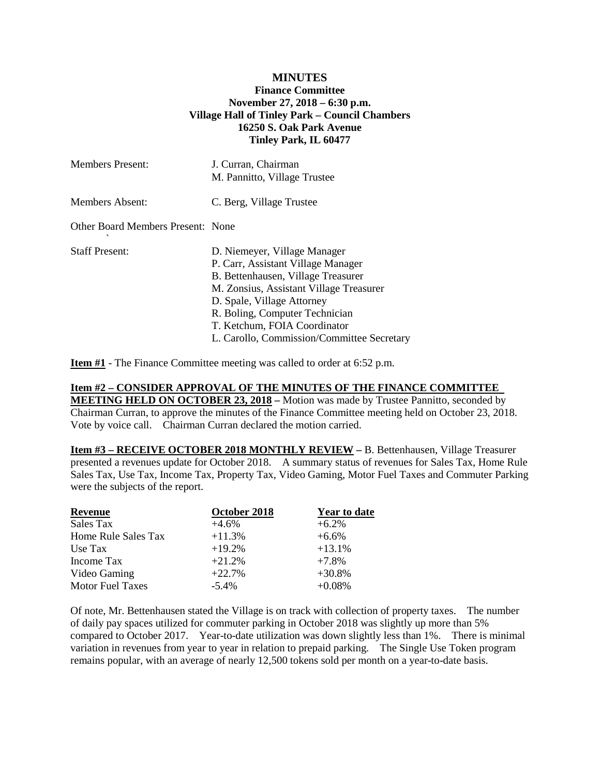## **MINUTES Finance Committee November 27, 2018 – 6:30 p.m. Village Hall of Tinley Park – Council Chambers 16250 S. Oak Park Avenue Tinley Park, IL 60477**

| <b>Members Present:</b>           | J. Curran, Chairman<br>M. Pannitto, Village Trustee                                                                                                                                                                                                                                               |
|-----------------------------------|---------------------------------------------------------------------------------------------------------------------------------------------------------------------------------------------------------------------------------------------------------------------------------------------------|
| Members Absent:                   | C. Berg, Village Trustee                                                                                                                                                                                                                                                                          |
| Other Board Members Present: None |                                                                                                                                                                                                                                                                                                   |
| <b>Staff Present:</b>             | D. Niemeyer, Village Manager<br>P. Carr, Assistant Village Manager<br>B. Bettenhausen, Village Treasurer<br>M. Zonsius, Assistant Village Treasurer<br>D. Spale, Village Attorney<br>R. Boling, Computer Technician<br>T. Ketchum, FOIA Coordinator<br>L. Carollo, Commission/Committee Secretary |

**Item #1** - The Finance Committee meeting was called to order at 6:52 p.m.

## **Item #2 – CONSIDER APPROVAL OF THE MINUTES OF THE FINANCE COMMITTEE**

**MEETING HELD ON OCTOBER 23, 2018 –** Motion was made by Trustee Pannitto, seconded by Chairman Curran, to approve the minutes of the Finance Committee meeting held on October 23, 2018. Vote by voice call. Chairman Curran declared the motion carried.

**Item #3 – RECEIVE OCTOBER 2018 MONTHLY REVIEW –** B. Bettenhausen, Village Treasurer presented a revenues update for October 2018. A summary status of revenues for Sales Tax, Home Rule Sales Tax, Use Tax, Income Tax, Property Tax, Video Gaming, Motor Fuel Taxes and Commuter Parking were the subjects of the report.

| Revenue                 | October 2018 | <b>Year to date</b> |
|-------------------------|--------------|---------------------|
| Sales Tax               | $+4.6\%$     | $+6.2\%$            |
| Home Rule Sales Tax     | $+11.3%$     | $+6.6\%$            |
| Use Tax                 | $+19.2%$     | $+13.1%$            |
| Income Tax              | $+21.2%$     | $+7.8%$             |
| Video Gaming            | $+22.7%$     | $+30.8%$            |
| <b>Motor Fuel Taxes</b> | $-5.4\%$     | $+0.08%$            |

Of note, Mr. Bettenhausen stated the Village is on track with collection of property taxes. The number of daily pay spaces utilized for commuter parking in October 2018 was slightly up more than 5% compared to October 2017. Year-to-date utilization was down slightly less than 1%. There is minimal variation in revenues from year to year in relation to prepaid parking. The Single Use Token program remains popular, with an average of nearly 12,500 tokens sold per month on a year-to-date basis.